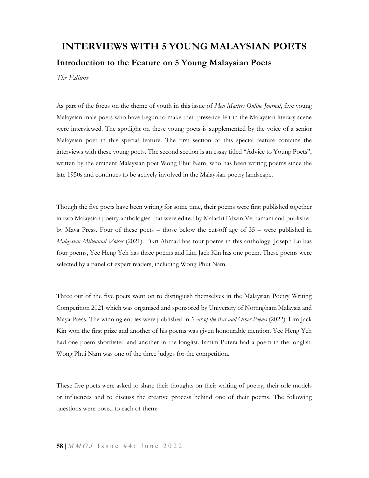## INTERVIEWS WITH 5 YOUNG MALAYSIAN POETS Introduction to the Feature on 5 Young Malaysian Poets

The Editors

As part of the focus on the theme of youth in this issue of Men Matters Online Journal, five young Malaysian male poets who have begun to make their presence felt in the Malaysian literary scene were interviewed. The spotlight on these young poets is supplemented by the voice of a senior Malaysian poet in this special feature. The first section of this special feature contains the interviews with these young poets. The second section is an essay titled "Advice to Young Poets", written by the eminent Malaysian poet Wong Phui Nam, who has been writing poems since the late 1950s and continues to be actively involved in the Malaysian poetry landscape.

Though the five poets have been writing for some time, their poems were first published together in two Malaysian poetry anthologies that were edited by Malachi Edwin Vethamani and published by Maya Press. Four of these poets – those below the cut-off age of 35 – were published in Malaysian Millennial Voices (2021). Fikri Ahmad has four poems in this anthology, Joseph Lu has four poems, Yee Heng Yeh has three poems and Lim Jack Kin has one poem. These poems were selected by a panel of expert readers, including Wong Phui Nam.

Three out of the five poets went on to distinguish themselves in the Malaysian Poetry Writing Competition 2021 which was organised and sponsored by University of Nottingham Malaysia and Maya Press. The winning entries were published in Year of the Rat and Other Poems (2022). Lim Jack Kin won the first prize and another of his poems was given honourable mention. Yee Heng Yeh had one poem shortlisted and another in the longlist. Ismim Putera had a poem in the longlist. Wong Phui Nam was one of the three judges for the competition.

These five poets were asked to share their thoughts on their writing of poetry, their role models or influences and to discuss the creative process behind one of their poems. The following questions were posed to each of them: